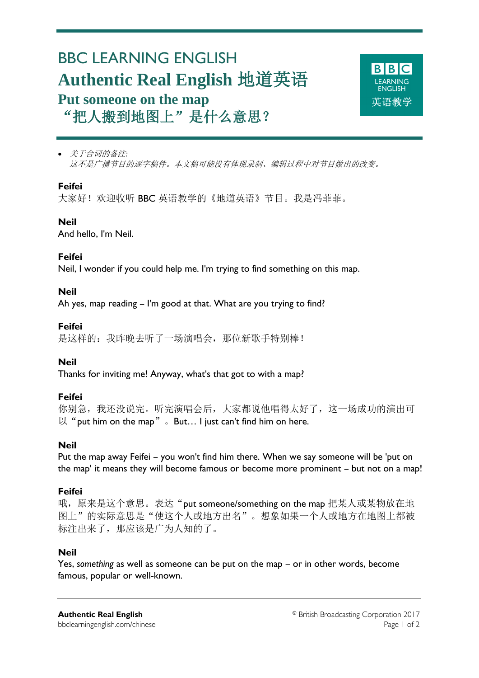# BBC LEARNING ENGLISH **Authentic Real English** 地道英语 **Put someone on the map** "把人搬到地图上"是什么意思?



 关于台词的备注*:* 这不是广播节目的逐字稿件。本文稿可能没有体现录制、编辑过程中对节目做出的改变。

#### **Feifei**

Ξ

大家好! 欢迎收听 BBC 英语教学的《地道英语》节目。我是冯菲菲。

### **Neil**

And hello, I'm Neil.

#### **Feifei**

Neil, I wonder if you could help me. I'm trying to find something on this map.

#### **Neil**

Ah yes, map reading – I'm good at that. What are you trying to find?

#### **Feifei**

是这样的: 我昨晚去听了一场演唱会, 那位新歌手特别棒!

#### **Neil**

Thanks for inviting me! Anyway, what's that got to with a map?

#### **Feifei**

你别急,我还没说完。听完演唱会后,大家都说他唱得太好了,这一场成功的演出可 以"put him on the map"。But... I just can't find him on here.

#### **Neil**

Put the map away Feifei – you won't find him there. When we say someone will be 'put on the map' it means they will become famous or become more prominent – but not on a map!

#### **Feifei**

哦,原来是这个意思。表达"put someone/something on the map 把某人或某物放在地 图上"的实际意思是"使这个人或地方出名"。想象如果一个人或地方在地图上都被 标注出来了,那应该是广为人知的了。

#### **Neil**

Yes, *something* as well as someone can be put on the map – or in other words, become famous, popular or well-known.